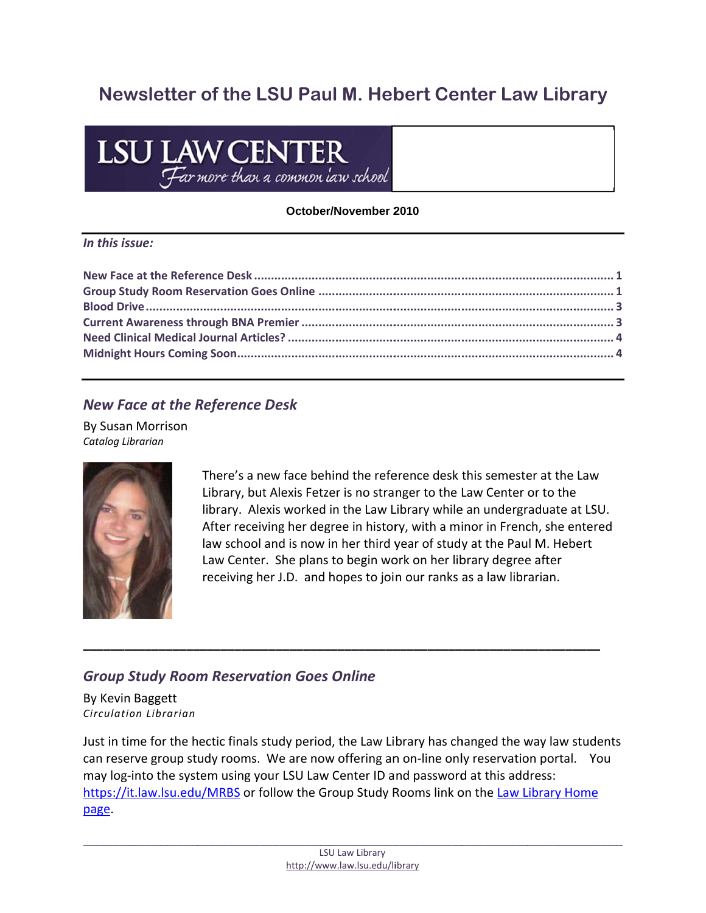# Newsletter of the LSU Paul M. Hebert Center Law Library

# **LSU LAW CENTER**<br>Far more than a common law school

#### October/November 2010

#### In this issue:

# **New Face at the Reference Desk**

**By Susan Morrison** Catalog Librarian



There's a new face behind the reference desk this semester at the Law Library, but Alexis Fetzer is no stranger to the Law Center or to the library. Alexis worked in the Law Library while an undergraduate at LSU. After receiving her degree in history, with a minor in French, she entered law school and is now in her third year of study at the Paul M. Hebert Law Center. She plans to begin work on her library degree after receiving her J.D. and hopes to join our ranks as a law librarian.

# **Group Study Room Reservation Goes Online**

By Kevin Baggett Circulation Librarian

Just in time for the hectic finals study period, the Law Library has changed the way law students can reserve group study rooms. We are now offering an on-line only reservation portal. You may log-into the system using your LSU Law Center ID and password at this address: https://it.law.lsu.edu/MRBS or follow the Group Study Rooms link on the Law Library Home page.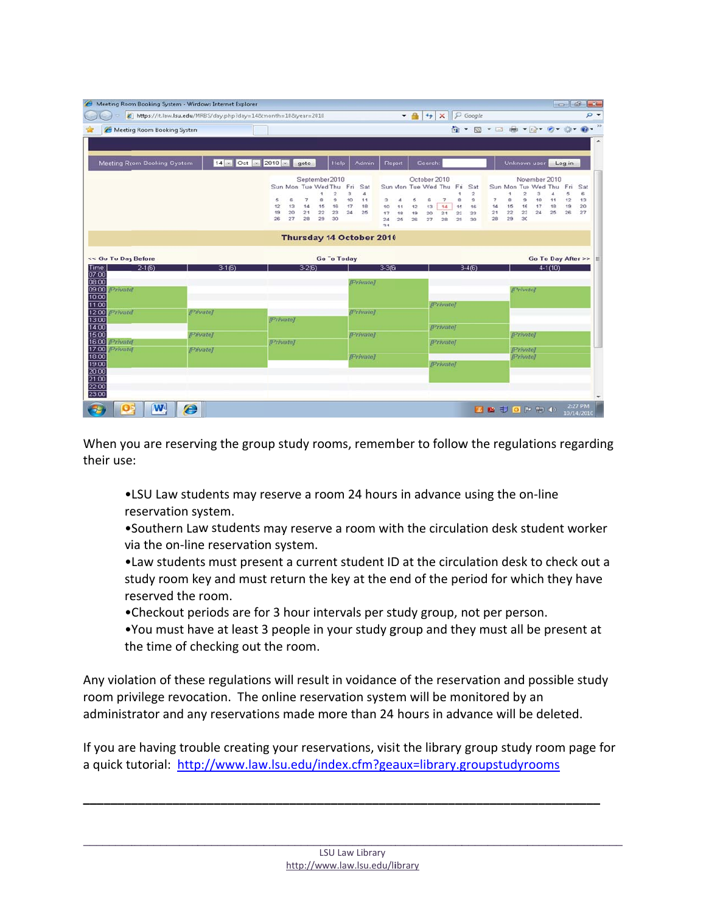|                                                                                                      | https://it.law.lsu.edu/MRBS/day.php?day=148cnonth=108cyear=2010 |                         |                  |          |                          |                     |                                         |                          |                      | $-a$     | $\left \rightarrow\right $ $\times$ $\left \right\rangle$ Google |               |                             |          |          |                     |                |                    |          |
|------------------------------------------------------------------------------------------------------|-----------------------------------------------------------------|-------------------------|------------------|----------|--------------------------|---------------------|-----------------------------------------|--------------------------|----------------------|----------|------------------------------------------------------------------|---------------|-----------------------------|----------|----------|---------------------|----------------|--------------------|----------|
| Meeting Room Booking System                                                                          |                                                                 |                         |                  |          |                          |                     |                                         |                          |                      |          |                                                                  |               | G - 5 - □ 曲 - Q - 0 - Q -   |          |          |                     |                |                    |          |
|                                                                                                      |                                                                 |                         |                  |          |                          |                     |                                         |                          |                      |          |                                                                  |               |                             |          |          |                     |                |                    |          |
|                                                                                                      |                                                                 |                         |                  |          |                          |                     |                                         |                          |                      |          |                                                                  |               |                             |          |          |                     |                |                    |          |
| <b>Meeting Rcom Booking System</b>                                                                   |                                                                 | $14 - Oct - 2010 - got$ |                  |          |                          |                     | Help                                    | Admin                    | Report               |          | Search:                                                          |               |                             |          |          | Unknown user        |                | Log in             |          |
|                                                                                                      |                                                                 |                         |                  |          |                          | September 2010      |                                         |                          |                      |          | October 2010                                                     |               |                             |          |          | November 2010       |                |                    |          |
|                                                                                                      |                                                                 |                         |                  |          |                          | Sun Mon Tue Wed Thu | Fri                                     | Sat                      | Sun Mon Tue Wed Thu  |          |                                                                  | Fin           | Sat                         |          |          | Sun Mon Tue Wed Thu | 3              | Fri                | Sat      |
|                                                                                                      |                                                                 |                         | 5                | е        | $\overline{\phantom{a}}$ | $\mathbf{a}$        | $\mathbf{z}$<br>з<br>$\mathbf{a}$<br>10 | $\Delta$<br>11           | з<br>4               | 5        | $\overline{\phantom{a}}$<br>ε                                    | s             | $\tilde{z}$<br>$\mathbf{s}$ | 7        | $\circ$  | 2<br>э              | 4<br>10        | 5<br>12<br>11      | 6<br>13  |
|                                                                                                      |                                                                 |                         | 12<br>19         | 13<br>20 | 14<br>21                 | 15<br>22            | 16<br>17<br>23<br>24                    | 18<br>26                 | 10<br>11<br>17<br>18 | 12<br>19 | 14<br>13<br>20<br>21                                             | 16<br>$^{22}$ | 16<br>23                    | 14<br>21 | 15<br>22 | 16<br>23            | 17<br>24<br>26 | 18<br>19<br>26     | 20<br>27 |
|                                                                                                      |                                                                 |                         | 26               | 27       | 28                       | 29                  | 30                                      |                          | 25<br>24             | 26       | 27<br>28                                                         | 29            | 30                          | 28       | 29       | 30                  |                |                    |          |
|                                                                                                      |                                                                 |                         |                  |          |                          |                     |                                         |                          | 31                   |          |                                                                  |               |                             |          |          |                     |                |                    |          |
|                                                                                                      |                                                                 |                         |                  |          |                          |                     |                                         | Thursday 14 October 2010 |                      |          |                                                                  |               |                             |          |          |                     |                |                    |          |
|                                                                                                      |                                                                 |                         |                  |          |                          |                     |                                         |                          |                      |          |                                                                  |               |                             |          |          |                     |                |                    |          |
| << Go To Day Before                                                                                  |                                                                 |                         |                  |          |                          |                     | <b>Go To Today</b>                      |                          |                      |          |                                                                  |               |                             |          |          |                     |                | Go To Day After >> |          |
| $2-1(6)$<br>Time:<br>07:00                                                                           |                                                                 | $3-1(6)$                |                  |          | $3-2(6)$                 |                     |                                         |                          | $3-3(6)$             |          |                                                                  |               | $3-4(6)$                    |          |          |                     | $4-1(10)$      |                    |          |
| 08:00                                                                                                |                                                                 |                         |                  |          |                          |                     |                                         | [Private]                |                      |          |                                                                  |               |                             |          |          |                     |                |                    |          |
|                                                                                                      |                                                                 |                         |                  |          |                          |                     |                                         |                          |                      |          |                                                                  |               |                             |          |          | <b>Privotel</b>     |                |                    |          |
|                                                                                                      |                                                                 |                         |                  |          |                          |                     |                                         |                          |                      |          |                                                                  |               |                             |          |          |                     |                |                    |          |
|                                                                                                      |                                                                 |                         |                  |          |                          |                     |                                         |                          |                      |          |                                                                  |               |                             |          |          |                     |                |                    |          |
| <b>Privatel</b>                                                                                      | [Private]                                                       |                         |                  |          |                          |                     |                                         | [Private]                |                      |          | <b>Private</b>                                                   |               |                             |          |          |                     |                |                    |          |
|                                                                                                      |                                                                 |                         | <b>[Private]</b> |          |                          |                     |                                         |                          |                      |          |                                                                  |               |                             |          |          |                     |                |                    |          |
|                                                                                                      |                                                                 |                         |                  |          |                          |                     |                                         |                          |                      |          | [Private]                                                        |               |                             |          |          |                     |                |                    |          |
| 09:00 Private<br>10:00<br>11:00<br>12:00<br>$\frac{13.00}{14.00}$<br>15:00<br>16:00 <i>[Private]</i> | [Private]                                                       |                         | <b>Privatel</b>  |          |                          |                     |                                         | [Private]                |                      |          | [Private]                                                        |               |                             |          |          | [Private]           |                |                    |          |
| <b>Privatel</b>                                                                                      | [Private]                                                       |                         |                  |          |                          |                     |                                         |                          |                      |          |                                                                  |               |                             |          |          | <b>Private</b> ]    |                |                    |          |
| 17:00<br>18:00<br>19:00                                                                              |                                                                 |                         |                  |          |                          |                     |                                         | <b>Privatel</b>          |                      |          | <b>Private]</b>                                                  |               |                             |          |          | <b>Privatel</b>     |                |                    |          |
| 20:00                                                                                                |                                                                 |                         |                  |          |                          |                     |                                         |                          |                      |          |                                                                  |               |                             |          |          |                     |                |                    |          |
|                                                                                                      |                                                                 |                         |                  |          |                          |                     |                                         |                          |                      |          |                                                                  |               |                             |          |          |                     |                |                    |          |
| 21:00<br>$\frac{22}{23.00}$                                                                          |                                                                 |                         |                  |          |                          |                     |                                         |                          |                      |          |                                                                  |               |                             |          |          |                     |                |                    |          |

When you are reserving the group study rooms, remember to follow the regulations regarding their use:

.LSU Law students may reserve a room 24 hours in advance using the on-line reservation system.

.Southern Law students may reserve a room with the circulation desk student worker via the on-line reservation system.

. Law students must present a current student ID at the circulation desk to check out a study room key and must return the key at the end of the period for which they have reserved the room.

• Checkout periods are for 3 hour intervals per study group, not per person.

.You must have at least 3 people in your study group and they must all be present at the time of checking out the room.

Any violation of these regulations will result in voidance of the reservation and possible study room privilege revocation. The online reservation system will be monitored by an administrator and any reservations made more than 24 hours in advance will be deleted.

If you are having trouble creating your reservations, visit the library group study room page for a quick tutorial: http://www.law.lsu.edu/index.cfm?geaux=library.groupstudyrooms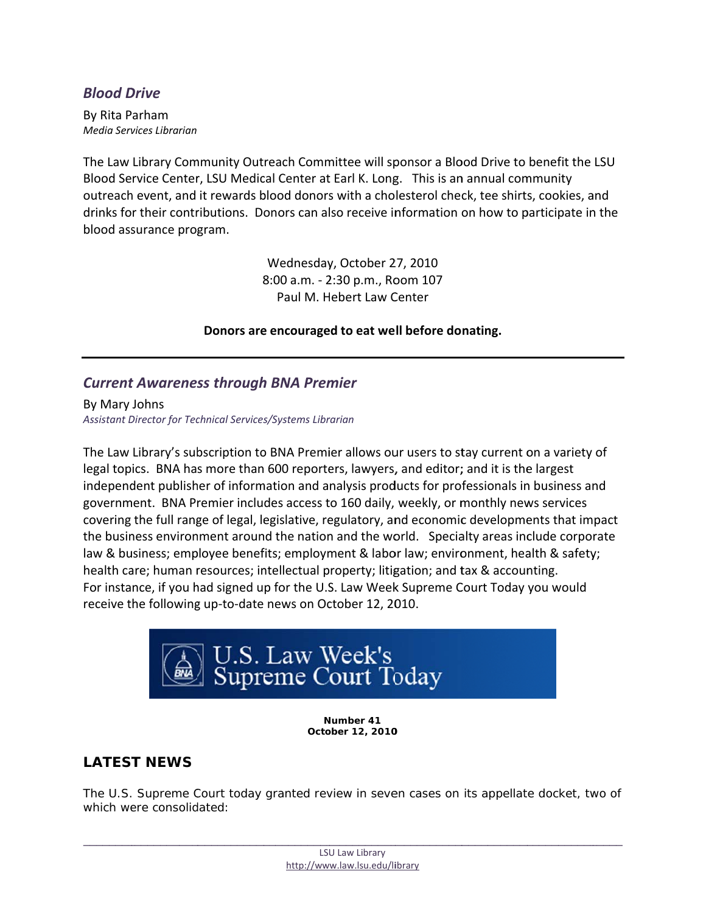### <span id="page-2-0"></span>**Blood Drive**

By Rita Parham Media Services Librarian

The Law Library Community Outreach Committee will sponsor a Blood Drive to benefit the LSU Blood Service Center, LSU Medical Center at Earl K. Long. This is an annual community outreach event, and it rewards blood donors with a cholesterol check, tee shirts, cookies, and drinks for their contributions. Donors can also receive information on how to participate in the blood assurance program.

> Wednesday, October 27, 2010 8:00 a.m. - 2:30 p.m., Room 107 Paul M. Hebert Law Center

Donors are encouraged to eat well before donating.

#### **Current Awareness through BNA Premier**

By Mary Johns Assistant Director for Technical Services/Systems Librarian

The Law Library's subscription to BNA Premier allows our users to stay current on a variety of legal topics. BNA has more than 600 reporters, lawyers, and editor; and it is the largest independent publisher of information and analysis products for professionals in business and government. BNA Premier includes access to 160 daily, weekly, or monthly news services covering the full range of legal, legislative, regulatory, and economic developments that impact the business environment around the nation and the world. Specialty areas include corporate law & business; employee benefits; employment & labor law; environment, health & safety; health care; human resources; intellectual property; litigation; and tax & accounting. For instance, if you had signed up for the U.S. Law Week Supreme Court Today you would receive the following up-to-date news on October 12, 2010.



Number 41 October 12, 2010

### **LATEST NEWS**

The U.S. Supreme Court today granted review in seven cases on its appellate docket, two of which were consolidated: